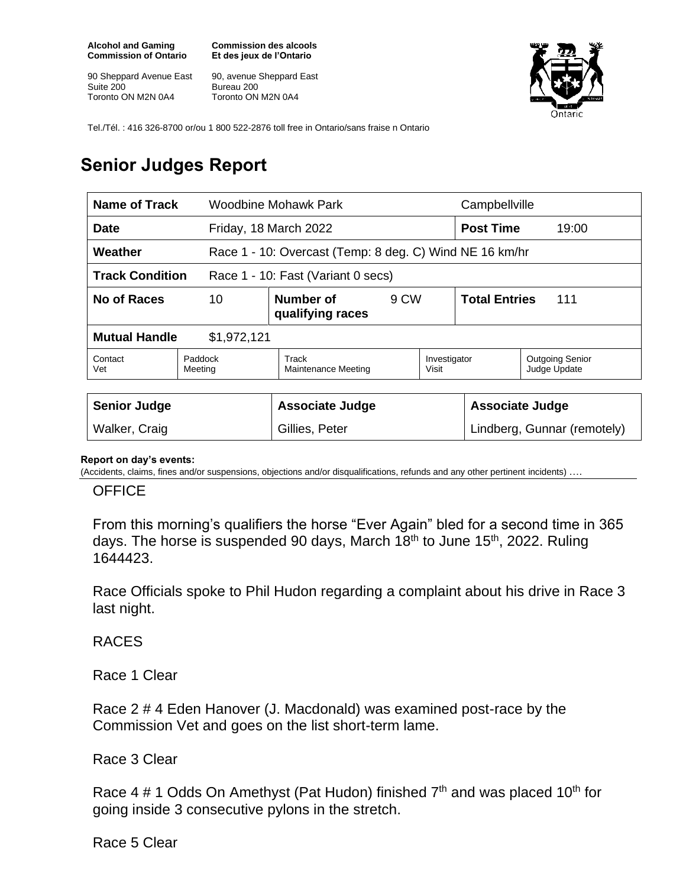**Alcohol and Gaming Commission of Ontario**

90 Sheppard Avenue East Suite 200 Toronto ON M2N 0A4

**Commission des alcools Et des jeux de l'Ontario**

90, avenue Sheppard East Bureau 200 Toronto ON M2N 0A4



Tel./Tél. : 416 326-8700 or/ou 1 800 522-2876 toll free in Ontario/sans fraise n Ontario

## **Senior Judges Report**

| Name of Track                                                      |                    | Woodbine Mohawk Park          |      | Campbellville               |                             |                                        |
|--------------------------------------------------------------------|--------------------|-------------------------------|------|-----------------------------|-----------------------------|----------------------------------------|
| <b>Date</b>                                                        |                    | Friday, 18 March 2022         |      | <b>Post Time</b>            | 19:00                       |                                        |
| Weather<br>Race 1 - 10: Overcast (Temp: 8 deg. C) Wind NE 16 km/hr |                    |                               |      |                             |                             |                                        |
| <b>Track Condition</b><br>Race 1 - 10: Fast (Variant 0 secs)       |                    |                               |      |                             |                             |                                        |
| No of Races<br>10                                                  |                    | Number of<br>qualifying races | 9 CW |                             | <b>Total Entries</b><br>111 |                                        |
| <b>Mutual Handle</b><br>\$1,972,121                                |                    |                               |      |                             |                             |                                        |
| Contact<br>Vet                                                     | Paddock<br>Meeting | Track<br>Maintenance Meeting  |      | Investigator<br>Visit       |                             | <b>Outgoing Senior</b><br>Judge Update |
|                                                                    |                    |                               |      |                             |                             |                                        |
| <b>Senior Judge</b>                                                |                    | <b>Associate Judge</b>        |      | <b>Associate Judge</b>      |                             |                                        |
| Walker, Craig                                                      |                    | Gillies, Peter                |      | Lindberg, Gunnar (remotely) |                             |                                        |

## **Report on day's events:**

(Accidents, claims, fines and/or suspensions, objections and/or disqualifications, refunds and any other pertinent incidents) ….

## **OFFICE**

From this morning's qualifiers the horse "Ever Again" bled for a second time in 365 days. The horse is suspended 90 days, March  $18<sup>th</sup>$  to June  $15<sup>th</sup>$ , 2022. Ruling 1644423.

Race Officials spoke to Phil Hudon regarding a complaint about his drive in Race 3 last night.

RACES

Race 1 Clear

Race 2 # 4 Eden Hanover (J. Macdonald) was examined post-race by the Commission Vet and goes on the list short-term lame.

Race 3 Clear

Race 4  $\#$  1 Odds On Amethyst (Pat Hudon) finished  $7<sup>th</sup>$  and was placed 10<sup>th</sup> for going inside 3 consecutive pylons in the stretch.

Race 5 Clear